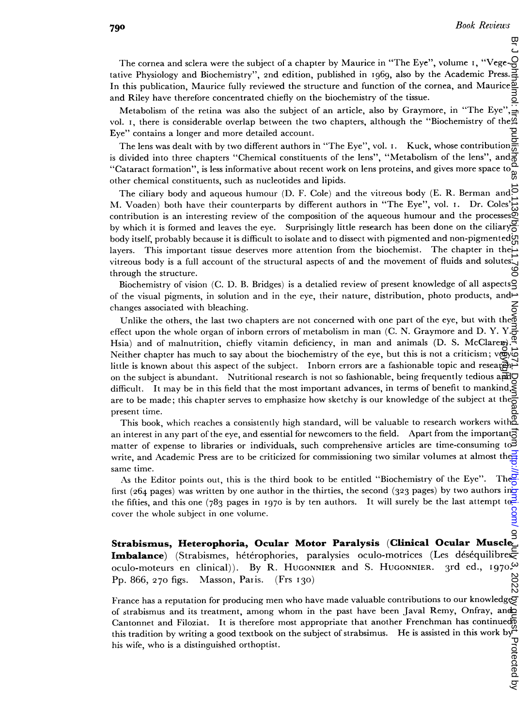The cornea and sclera were the subject of a chapter by Maurice in "The Eye", volume i, "Vegetative Physiology and Biochemistry", 2nd edition, published in I969, also by the Academic Press. In this publication, Maurice fully reviewed the structure and function of the cornea, and Maurice and Riley have therefore concentrated chiefly on the biochemistry of the tissue.

Metabolism of the retina was also the subject of an article, also by Graymore, in "The Eye", vol. 1, there is considerable overlap between the two chapters, although the "Biochemistry of the  $\vec{A}$ Eye" contains a longer and more detailed account.

The lens was dealt with by two different authors in "The Eye", vol. i. Kuck, whose contribution is divided into three chapters "Chemical constituents of the lens", "Metabolism of the lens", and "Cataract formation", is less informative about recent work on lens proteins, and gives more space to other chemical constituents, such as nucleotides and lipids.

The ciliary body and aqueous humour (D. F. Cole) and the vitreous body (E. R. Berman and  $\overline{P}$ MI. Voaden) both have their counterparts by different authors in "The Eye", vol. i. Dr. Coles' contribution is an interesting review of the composition of the aqueous humour and the processes by which it is formed and leaves the eye. Surprisingly little research has been done on the ciliary body itself, probably because it is difficult to isolate and to dissect with pigmented and non-pigmented layers. This important tissue deserves more attention from the biochemist. The chapter in the vitreous body is a full account of the structural aspects of and the movement of fluids and solutes through the structure.

Biochemistry of vision (C. D. B. Bridges) is a detalied review of present knowledge of all aspects  $\mathbf Q$ of the visual pigments, in solution and in the eye, their nature, distribution, photo products, and  $\rightarrow$ changes associated with bleaching.

Unlike the others, the last two chapters are not concerned with one part of the eye, but with the effect upon the whole organ of inborn errors of metabolism in man (C. N. Graymore and D. Y. Y. $\vec{B}$ Hsia) and of malnutrition, chiefly vitamin deficiency, in man and animals (D. S. McClaren). Neither chapter has much to say about the biochemistry of the eye, but this is not a criticism;  $v\ddot{\phi}$ little is known about this aspect of the subject. Inborn errors are a fashionable topic and research on the subject is abundant. Nutritional research is not so fashionable, but this is not a criticism; very<br>interest is known about this aspect of the subject. Inborn errors are a fashionable topic and research is<br>on the sub difficult. It may be in this field that the most important advances, in terms of benefit to mankind, are to be made; this chapter serves to emphasize how sketchy is our knowledge of the subject at the present time. br Johthalmol: first published as 10.1136/bjo.55.11.790 on 1 November 1971. Downloaded from by Http://bjo.bmj.c.bm/ on November 1971. Downloaded from 2022. py.guest. Protected by

This book, which reaches a consistently high standard, will be valuable to research workers with an interest in any part of the eye, and essential for newcomers to the field. Apart from the important matter of expense to libraries or individuals, such comprehensive articles are time-consuming to  $\overline{3}$ write, and Academic Press are to be criticized for commissioning two similar volumes at almost the same time.

As the Editor points out, this is the third book to be entitled "Biochemistry of the Eye". The first (264 pages) was written by one author in the thirties, the second (323 pages) by two authors ino the fifties, and this one (783 pages in 1970 is by ten authors. It will surely be the last attempt to cover the whole subject in one volume.

Strabismus, Heterophoria, Ocular Motor Paralysis (Clinical Ocular Muscle Imbalance) (Strabismes, hétérophories, paralysies oculo-motrices (Les déséquilibres oculo-moteurs en clinical)). By R. HUGONNIER and S. HUGONNIER. 3rd ed., 1970.<br>Pp. 866, 270 figs. Masson, Paris. (Frs 130)<br>N Pp. 866, 270 figs. Masson, Paris. (Frs 130)

France has a reputation for producing men who have made valuable contributions to our knowledgey of strabismus and its treatment, among whom in the past have been Javal Remy, Onfray, and Cantonnet and Filoziat. It is therefore most appropriate that another Frenchman has continued this tradition by writing a good textbook on the subject of strabsimus. He is assisted in this work by his wife, who is a distinguished orthoptist.<br>
This wife, who is a distinguished orthoptist.<br>  $\frac{54}{9}$ <br>  $\frac{1}{9}$ his wife, who is a distinguished orthoptist.